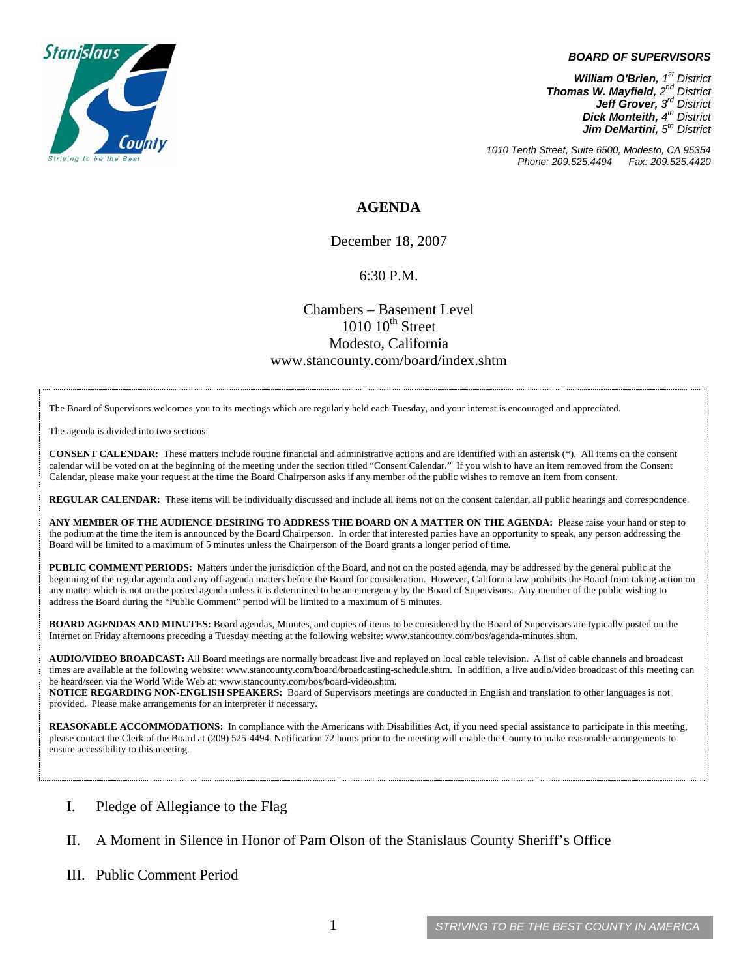

#### *BOARD OF SUPERVISORS*

*William O'Brien, 1st District Thomas W. Mayfield, 2nd District Jeff Grover, 3rd District Dick Monteith, 4th District Jim DeMartini, 5th District*

*1010 Tenth Street, Suite 6500, Modesto, CA 95354 Phone: 209.525.4494 Fax: 209.525.4420* 

### **AGENDA**

December 18, 2007

#### 6:30 P.M.

### Chambers – Basement Level  $1010~10^{\text{th}}$  Street Modesto, California www.stancounty.com/board/index.shtm

The Board of Supervisors welcomes you to its meetings which are regularly held each Tuesday, and your interest is encouraged and appreciated.

The agenda is divided into two sections:

**CONSENT CALENDAR:** These matters include routine financial and administrative actions and are identified with an asterisk (\*). All items on the consent calendar will be voted on at the beginning of the meeting under the section titled "Consent Calendar." If you wish to have an item removed from the Consent Calendar, please make your request at the time the Board Chairperson asks if any member of the public wishes to remove an item from consent.

**REGULAR CALENDAR:** These items will be individually discussed and include all items not on the consent calendar, all public hearings and correspondence.

**ANY MEMBER OF THE AUDIENCE DESIRING TO ADDRESS THE BOARD ON A MATTER ON THE AGENDA:** Please raise your hand or step to the podium at the time the item is announced by the Board Chairperson. In order that interested parties have an opportunity to speak, any person addressing the Board will be limited to a maximum of 5 minutes unless the Chairperson of the Board grants a longer period of time.

**PUBLIC COMMENT PERIODS:** Matters under the jurisdiction of the Board, and not on the posted agenda, may be addressed by the general public at the beginning of the regular agenda and any off-agenda matters before the Board for consideration. However, California law prohibits the Board from taking action on any matter which is not on the posted agenda unless it is determined to be an emergency by the Board of Supervisors. Any member of the public wishing to address the Board during the "Public Comment" period will be limited to a maximum of 5 minutes.

**BOARD AGENDAS AND MINUTES:** Board agendas, Minutes, and copies of items to be considered by the Board of Supervisors are typically posted on the Internet on Friday afternoons preceding a Tuesday meeting at the following website: www.stancounty.com/bos/agenda-minutes.shtm.

**AUDIO/VIDEO BROADCAST:** All Board meetings are normally broadcast live and replayed on local cable television. A list of cable channels and broadcast times are available at the following website: www.stancounty.com/board/broadcasting-schedule.shtm. In addition, a live audio/video broadcast of this meeting can be heard/seen via the World Wide Web at: www.stancounty.com/bos/board-video.shtm.

**NOTICE REGARDING NON-ENGLISH SPEAKERS:** Board of Supervisors meetings are conducted in English and translation to other languages is not provided. Please make arrangements for an interpreter if necessary.

**REASONABLE ACCOMMODATIONS:** In compliance with the Americans with Disabilities Act, if you need special assistance to participate in this meeting, please contact the Clerk of the Board at (209) 525-4494. Notification 72 hours prior to the meeting will enable the County to make reasonable arrangements to ensure accessibility to this meeting.

I. Pledge of Allegiance to the Flag

#### II. A Moment in Silence in Honor of Pam Olson of the Stanislaus County Sheriff's Office

III. Public Comment Period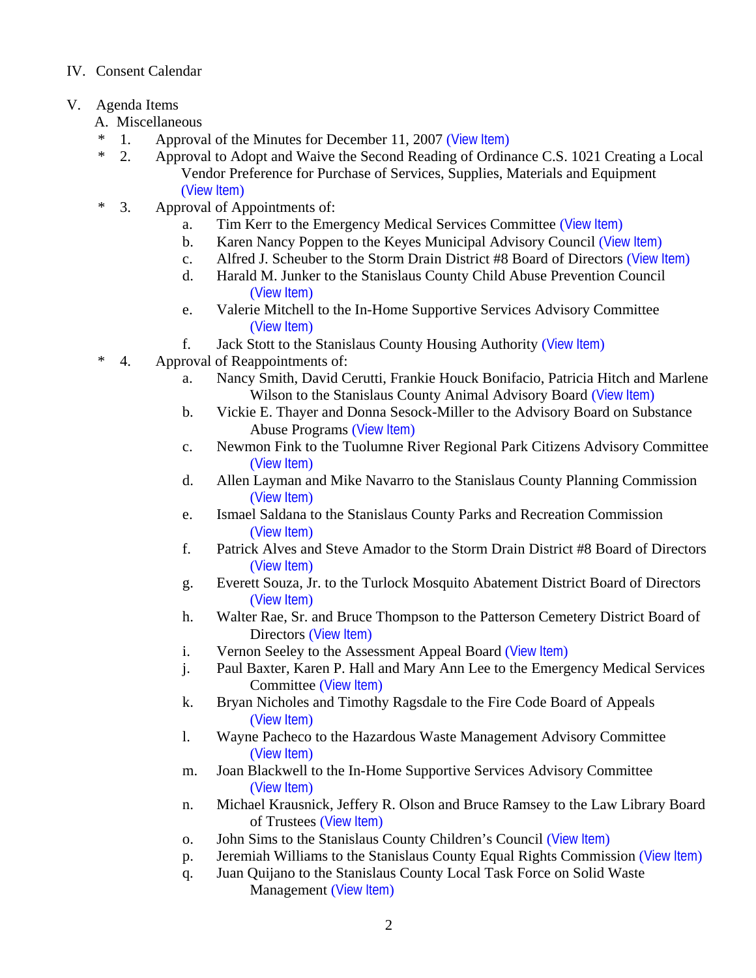## IV. Consent Calendar

# V. Agenda Items

- A. Miscellaneous
- \* 1. Approval of the Minutes for December 11, 2007 ([View Item](http://www.stancounty.com/bos/minutes/2007/min12-11-07.pdf))
- \* 2. Approval to Adopt and Waive the Second Reading of Ordinance C.S. 1021 Creating a Local Vendor Preference for Purchase of Services, Supplies, Materials and Equipment ([View Item](http://www.stancounty.com/bos/agenda/2007/20071218/A02.pdf))
- \* 3. Approval of Appointments of:
	- a. Tim Kerr to the Emergency Medical Services Committee ([View Item](http://www.stancounty.com/bos/agenda/2007/20071218/A03a.pdf))
	- b. Karen Nancy Poppen to the Keyes Municipal Advisory Council ([View Item](http://www.stancounty.com/bos/agenda/2007/20071218/A03b.pdf))
	- c. Alfred J. Scheuber to the Storm Drain District #8 Board of Directors ([View Item](http://www.stancounty.com/bos/agenda/2007/20071218/A03c.pdf))
	- d. Harald M. Junker to the Stanislaus County Child Abuse Prevention Council ([View Item](http://www.stancounty.com/bos/agenda/2007/20071218/A03d.pdf))
	- e. Valerie Mitchell to the In-Home Supportive Services Advisory Committee ([View Item](http://www.stancounty.com/bos/agenda/2007/20071218/A03e.pdf))
	- f. Jack Stott to the Stanislaus County Housing Authority ([View Item](http://www.stancounty.com/bos/agenda/2007/20071218/A03f.pdf))
- \* 4. Approval of Reappointments of:
	- a. Nancy Smith, David Cerutti, Frankie Houck Bonifacio, Patricia Hitch and Marlene Wilson to the Stanislaus County Animal Advisory Board ([View Item](http://www.stancounty.com/bos/agenda/2007/20071218/A04a.pdf))
	- b. Vickie E. Thayer and Donna Sesock-Miller to the Advisory Board on Substance Abuse Programs ([View Item](http://www.stancounty.com/bos/agenda/2007/20071218/A04b.pdf))
	- c. Newmon Fink to the Tuolumne River Regional Park Citizens Advisory Committee ([View Item](http://www.stancounty.com/bos/agenda/2007/20071218/A04c.pdf))
	- d. Allen Layman and Mike Navarro to the Stanislaus County Planning Commission ([View Item](http://www.stancounty.com/bos/agenda/2007/20071218/A04d.pdf))
	- e. Ismael Saldana to the Stanislaus County Parks and Recreation Commission ([View Item](http://www.stancounty.com/bos/agenda/2007/20071218/A04e.pdf))
	- f. Patrick Alves and Steve Amador to the Storm Drain District #8 Board of Directors ([View Item](http://www.stancounty.com/bos/agenda/2007/20071218/A04f.pdf))
	- g. Everett Souza, Jr. to the Turlock Mosquito Abatement District Board of Directors ([View Item](http://www.stancounty.com/bos/agenda/2007/20071218/A04g.pdf))
	- h. Walter Rae, Sr. and Bruce Thompson to the Patterson Cemetery District Board of Directors ([View Item](http://www.stancounty.com/bos/agenda/2007/20071218/A04h.pdf))
	- i. Vernon Seeley to the Assessment Appeal Board ([View Item](http://www.stancounty.com/bos/agenda/2007/20071218/A04i.pdf))
	- j. Paul Baxter, Karen P. Hall and Mary Ann Lee to the Emergency Medical Services Committee (View Item)
	- k. Bryan Nicholes and Timothy Ragsdale to the Fire Code Board of Appeals ([View Item](http://www.stancounty.com/bos/agenda/2007/20071218/A04k.pdf))
	- l. Wayne Pacheco to the Hazardous Waste Management Advisory Committee ([View Item](http://www.stancounty.com/bos/agenda/2007/20071218/A04l.pdf))
	- m. Joan Blackwell to the In-Home Supportive Services Advisory Committee ([View Item](http://www.stancounty.com/bos/agenda/2007/20071218/A04m.pdf))
	- n. Michael Krausnick, Jeffery R. Olson and Bruce Ramsey to the Law Library Board of Trustees ([View Item](http://www.stancounty.com/bos/agenda/2007/20071218/A04n.pdf))
	- o. John Sims to the Stanislaus County Children's Council ([View Item](http://www.stancounty.com/bos/agenda/2007/20071218/A04o.pdf))
	- p. Jeremiah Williams to the Stanislaus County Equal Rights Commission ([View Item](http://www.stancounty.com/bos/agenda/2007/20071218/A04p.pdf))
	- q. Juan Quijano to the Stanislaus County Local Task Force on Solid Waste Management ([View Item](http://www.stancounty.com/bos/agenda/2007/20071218/A04q.pdf))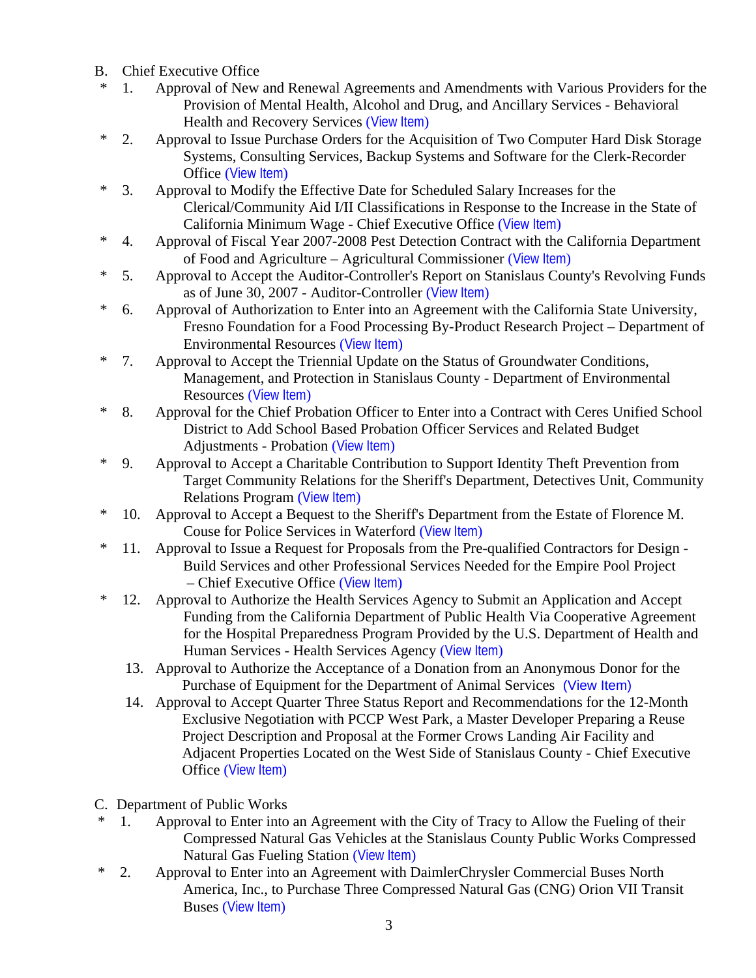- B. Chief Executive Office
- \* 1. Approval of New and Renewal Agreements and Amendments with Various Providers for the Provision of Mental Health, Alcohol and Drug, and Ancillary Services - Behavioral Health and Recovery Services ([View Item](http://www.stancounty.com/bos/agenda/2007/20071218/B01.pdf))
- \* 2. Approval to Issue Purchase Orders for the Acquisition of Two Computer Hard Disk Storage Systems, Consulting Services, Backup Systems and Software for the Clerk-Recorder Office ([View Item](http://www.stancounty.com/bos/agenda/2007/20071218/B02.pdf))
- \* 3. Approval to Modify the Effective Date for Scheduled Salary Increases for the Clerical/Community Aid I/II Classifications in Response to the Increase in the State of California Minimum Wage - Chief Executive Office ([View Item](http://www.stancounty.com/bos/agenda/2007/20071218/B03.pdf))
- \* 4. Approval of Fiscal Year 2007-2008 Pest Detection Contract with the California Department of Food and Agriculture – Agricultural Commissioner ([View Item](http://www.stancounty.com/bos/agenda/2007/20071218/B04.pdf))
- \* 5. Approval to Accept the Auditor-Controller's Report on Stanislaus County's Revolving Funds as of June 30, 2007 - Auditor-Controller ([View Item](http://www.stancounty.com/bos/agenda/2007/20071218/B05.pdf))
- \* 6. Approval of Authorization to Enter into an Agreement with the California State University, Fresno Foundation for a Food Processing By-Product Research Project – Department of Environmental Resources ([View Item](http://www.stancounty.com/bos/agenda/2007/20071218/B06.pdf))
- \* 7. Approval to Accept the Triennial Update on the Status of Groundwater Conditions, Management, and Protection in Stanislaus County - Department of Environmental Resources ([View Item](http://www.stancounty.com/bos/agenda/2007/20071218/B07.pdf))
- \* 8. Approval for the Chief Probation Officer to Enter into a Contract with Ceres Unified School District to Add School Based Probation Officer Services and Related Budget Adjustments - Probation ([View Item](http://www.stancounty.com/bos/agenda/2007/20071218/B08.pdf))
- \* 9. Approval to Accept a Charitable Contribution to Support Identity Theft Prevention from Target Community Relations for the Sheriff's Department, Detectives Unit, Community Relations Program ([View Item](http://www.stancounty.com/bos/agenda/2007/20071218/B09.pdf))
- \* 10. Approval to Accept a Bequest to the Sheriff's Department from the Estate of Florence M. Couse for Police Services in Waterford ([View Item](http://www.stancounty.com/bos/agenda/2007/20071218/B10.pdf))
- \* 11. Approval to Issue a Request for Proposals from the Pre-qualified Contractors for Design Build Services and other Professional Services Needed for the Empire Pool Project – Chief Executive Office ([View Item](http://www.stancounty.com/bos/agenda/2007/20071218/B11.pdf))
- \* 12. Approval to Authorize the Health Services Agency to Submit an Application and Accept Funding from the California Department of Public Health Via Cooperative Agreement for the Hospital Preparedness Program Provided by the U.S. Department of Health and Human Services - Health Services Agency ([View Item](http://www.stancounty.com/bos/agenda/2007/20071218/B12.pdf))
	- 13. Approval to Authorize the Acceptance of a Donation from an Anonymous Donor for the Purchase of Equipment for the Department of Animal Services [\(View Item\)](http://www.stancounty.com/bos/agenda/2007/20071218/B13.pdf)
	- 14. Approval to Accept Quarter Three Status Report and Recommendations for the 12-Month Exclusive Negotiation with PCCP West Park, a Master Developer Preparing a Reuse Project Description and Proposal at the Former Crows Landing Air Facility and Adjacent Properties Located on the West Side of Stanislaus County - Chief Executive Office ([View Item](http://www.stancounty.com/bos/agenda/2007/20071218/B14.pdf))
- C. Department of Public Works
- 1. Approval to Enter into an Agreement with the City of Tracy to Allow the Fueling of their Compressed Natural Gas Vehicles at the Stanislaus County Public Works Compressed Natural Gas Fueling Station ([View Item](http://www.stancounty.com/bos/agenda/2007/20071218/C01.pdf))
- \* 2. Approval to Enter into an Agreement with DaimlerChrysler Commercial Buses North America, Inc., to Purchase Three Compressed Natural Gas (CNG) Orion VII Transit Buses ([View Item](http://www.stancounty.com/bos/agenda/2007/20071218/C02.pdf))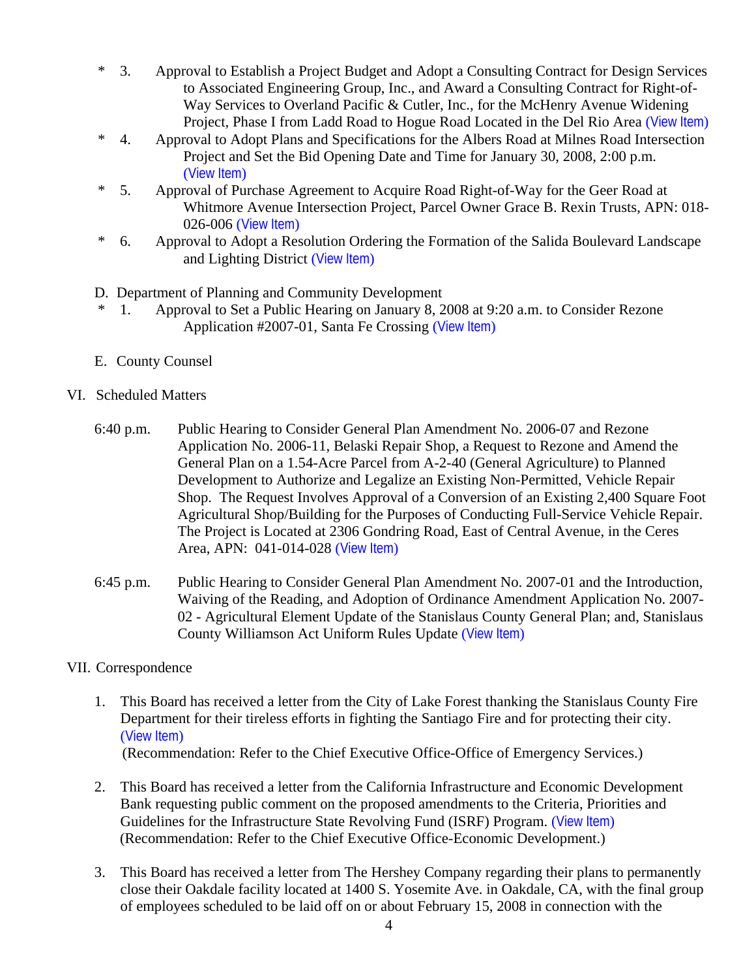- \* 3. Approval to Establish a Project Budget and Adopt a Consulting Contract for Design Services to Associated Engineering Group, Inc., and Award a Consulting Contract for Right-of-Way Services to Overland Pacific & Cutler, Inc., for the McHenry Avenue Widening Project, Phase I from Ladd Road to Hogue Road Located in the Del Rio Area ([View Item](http://www.stancounty.com/bos/agenda/2007/20071218/C03.pdf))
- \* 4. Approval to Adopt Plans and Specifications for the Albers Road at Milnes Road Intersection Project and Set the Bid Opening Date and Time for January 30, 2008, 2:00 p.m. ([View Item](http://www.stancounty.com/bos/agenda/2007/20071218/C04.pdf))
- \* 5. Approval of Purchase Agreement to Acquire Road Right-of-Way for the Geer Road at Whitmore Avenue Intersection Project, Parcel Owner Grace B. Rexin Trusts, APN: 018- 026-006 ([View Item](http://www.stancounty.com/bos/agenda/2007/20071218/C05.pdf))
- \* 6. Approval to Adopt a Resolution Ordering the Formation of the Salida Boulevard Landscape and Lighting District ([View Item](http://www.stancounty.com/bos/agenda/2007/20071218/C06.pdf))
- D. Department of Planning and Community Development
- \* 1. Approval to Set a Public Hearing on January 8, 2008 at 9:20 a.m. to Consider Rezone Application #2007-01, Santa Fe Crossing ([View Item](http://www.stancounty.com/bos/agenda/2007/20071218/D01.pdf))
- E. County Counsel
- VI. Scheduled Matters
	- 6:40 p.m. Public Hearing to Consider General Plan Amendment No. 2006-07 and Rezone Application No. 2006-11, Belaski Repair Shop, a Request to Rezone and Amend the General Plan on a 1.54-Acre Parcel from A-2-40 (General Agriculture) to Planned Development to Authorize and Legalize an Existing Non-Permitted, Vehicle Repair Shop. The Request Involves Approval of a Conversion of an Existing 2,400 Square Foot Agricultural Shop/Building for the Purposes of Conducting Full-Service Vehicle Repair. The Project is Located at 2306 Gondring Road, East of Central Avenue, in the Ceres Area, APN: 041-014-028 ([View Item](http://www.stancounty.com/bos/agenda/2007/20071218/PH640.pdf))
	- 6:45 p.m. Public Hearing to Consider General Plan Amendment No. 2007-01 and the Introduction, Waiving of the Reading, and Adoption of Ordinance Amendment Application No. 2007- 02 - Agricultural Element Update of the Stanislaus County General Plan; and, Stanislaus County Williamson Act Uniform Rules Update ([View Item](http://www.stancounty.com/bos/agenda/2007/20071218/PH645.pdf))
- VII. Correspondence
	- 1. This Board has received a letter from the City of Lake Forest thanking the Stanislaus County Fire Department for their tireless efforts in fighting the Santiago Fire and for protecting their city. ([View Item](http://www.stancounty.com/bos/agenda/2007/20071218/Corr01.pdf)) (Recommendation: Refer to the Chief Executive Office-Office of Emergency Services.)
	- 2. This Board has received a letter from the California Infrastructure and Economic Development Bank requesting public comment on the proposed amendments to the Criteria, Priorities and Guidelines for the Infrastructure State Revolving Fund (ISRF) Program. ([View Item](http://www.stancounty.com/bos/agenda/2007/20071218/Corr02.pdf)) (Recommendation: Refer to the Chief Executive Office-Economic Development.)
	- 3. This Board has received a letter from The Hershey Company regarding their plans to permanently close their Oakdale facility located at 1400 S. Yosemite Ave. in Oakdale, CA, with the final group of employees scheduled to be laid off on or about February 15, 2008 in connection with the